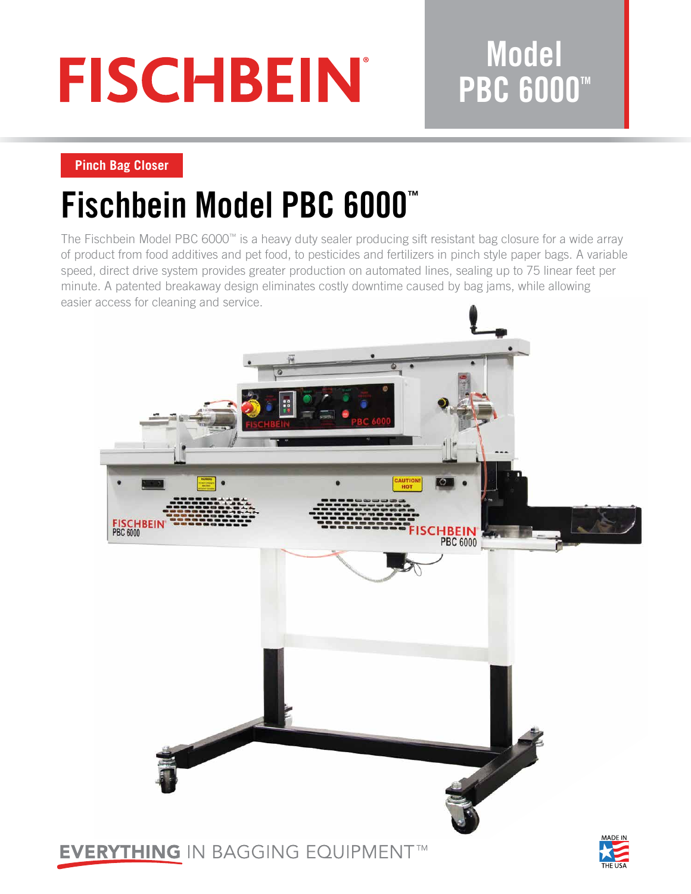# **FISCHBEIN®**

### **Model PBC 6000™**

### **Pinch Bag Closer**

## **Fischbein Model PBC 6000™**

The Fischbein Model PBC 6000™ is a heavy duty sealer producing sift resistant bag closure for a wide array of product from food additives and pet food, to pesticides and fertilizers in pinch style paper bags. A variable speed, direct drive system provides greater production on automated lines, sealing up to 75 linear feet per minute. A patented breakaway design eliminates costly downtime caused by bag jams, while allowing easier access for cleaning and service.